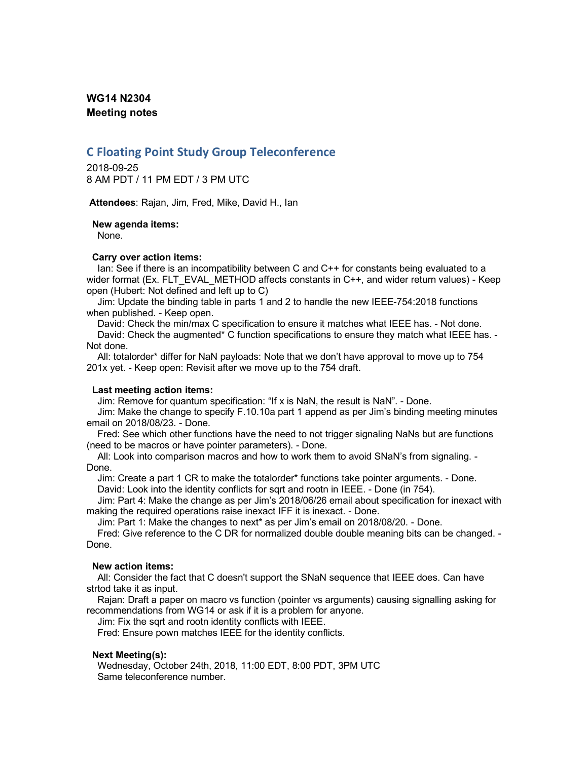# **WG14 N2304 Meeting notes**

# **C Floating Point Study Group Teleconference**

2018-09-25 8 AM PDT / 11 PM EDT / 3 PM UTC

**Attendees**: Rajan, Jim, Fred, Mike, David H., Ian

#### **New agenda items:**

None.

### **Carry over action items:**

Ian: See if there is an incompatibility between C and C++ for constants being evaluated to a wider format (Ex. FLT\_EVAL\_METHOD affects constants in C++, and wider return values) - Keep open (Hubert: Not defined and left up to C)

Jim: Update the binding table in parts 1 and 2 to handle the new IEEE-754:2018 functions when published. - Keep open.

David: Check the min/max C specification to ensure it matches what IEEE has. - Not done. David: Check the augmented\* C function specifications to ensure they match what IEEE has. - Not done.

All: totalorder\* differ for NaN payloads: Note that we don't have approval to move up to 754 201x yet. - Keep open: Revisit after we move up to the 754 draft.

### **Last meeting action items:**

Jim: Remove for quantum specification: "If x is NaN, the result is NaN". - Done.

Jim: Make the change to specify F.10.10a part 1 append as per Jim's binding meeting minutes email on 2018/08/23. - Done.

Fred: See which other functions have the need to not trigger signaling NaNs but are functions (need to be macros or have pointer parameters). - Done.

All: Look into comparison macros and how to work them to avoid SNaN's from signaling. - Done.

Jim: Create a part 1 CR to make the totalorder\* functions take pointer arguments. - Done. David: Look into the identity conflicts for sqrt and rootn in IEEE. - Done (in 754).

Jim: Part 4: Make the change as per Jim's 2018/06/26 email about specification for inexact with making the required operations raise inexact IFF it is inexact. - Done.

Jim: Part 1: Make the changes to next\* as per Jim's email on 2018/08/20. - Done.

Fred: Give reference to the C DR for normalized double double meaning bits can be changed. - Done.

### **New action items:**

All: Consider the fact that C doesn't support the SNaN sequence that IEEE does. Can have strtod take it as input.

Rajan: Draft a paper on macro vs function (pointer vs arguments) causing signalling asking for recommendations from WG14 or ask if it is a problem for anyone.

Jim: Fix the sqrt and rootn identity conflicts with IEEE.

Fred: Ensure pown matches IEEE for the identity conflicts.

### **Next Meeting(s):**

Wednesday, October 24th, 2018, 11:00 EDT, 8:00 PDT, 3PM UTC Same teleconference number.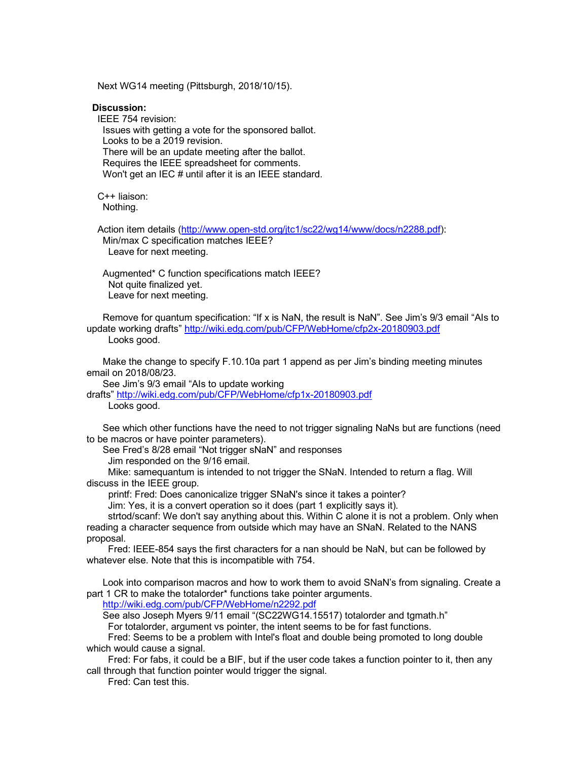Next WG14 meeting (Pittsburgh, 2018/10/15).

#### **Discussion:**

IEEE 754 revision: Issues with getting a vote for the sponsored ballot. Looks to be a 2019 revision. There will be an update meeting after the ballot. Requires the IEEE spreadsheet for comments. Won't get an IEC # until after it is an IEEE standard.

C++ liaison: Nothing.

Action item details (http://www.open-std.org/jtc1/sc22/wg14/www/docs/n2288.pdf): Min/max C specification matches IEEE? Leave for next meeting.

Augmented\* C function specifications match IEEE? Not quite finalized yet. Leave for next meeting.

Remove for quantum specification: "If x is NaN, the result is NaN". See Jim's 9/3 email "AIs to update working drafts" http://wiki.edg.com/pub/CFP/WebHome/cfp2x-20180903.pdf Looks good.

Make the change to specify F.10.10a part 1 append as per Jim's binding meeting minutes email on 2018/08/23.

See Jim's 9/3 email "AIs to update working

drafts" http://wiki.edg.com/pub/CFP/WebHome/cfp1x-20180903.pdf

Looks good.

See which other functions have the need to not trigger signaling NaNs but are functions (need to be macros or have pointer parameters).

See Fred's 8/28 email "Not trigger sNaN" and responses

Jim responded on the 9/16 email.

Mike: samequantum is intended to not trigger the SNaN. Intended to return a flag. Will discuss in the IEEE group.

printf: Fred: Does canonicalize trigger SNaN's since it takes a pointer?

Jim: Yes, it is a convert operation so it does (part 1 explicitly says it).

strtod/scanf: We don't say anything about this. Within C alone it is not a problem. Only when reading a character sequence from outside which may have an SNaN. Related to the NANS proposal.

Fred: IEEE-854 says the first characters for a nan should be NaN, but can be followed by whatever else. Note that this is incompatible with 754.

Look into comparison macros and how to work them to avoid SNaN's from signaling. Create a part 1 CR to make the totalorder\* functions take pointer arguments.

http://wiki.edg.com/pub/CFP/WebHome/n2292.pdf

See also Joseph Myers 9/11 email "(SC22WG14.15517) totalorder and tgmath.h"

For totalorder, argument vs pointer, the intent seems to be for fast functions.

Fred: Seems to be a problem with Intel's float and double being promoted to long double which would cause a signal.

Fred: For fabs, it could be a BIF, but if the user code takes a function pointer to it, then any call through that function pointer would trigger the signal.

Fred: Can test this.